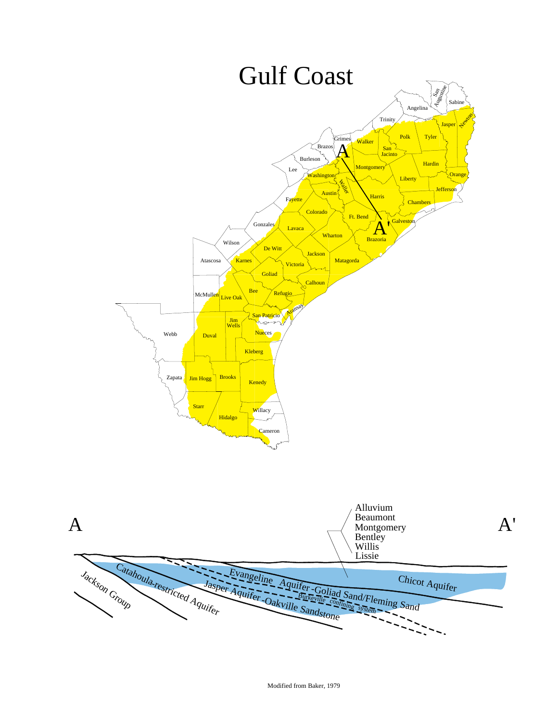